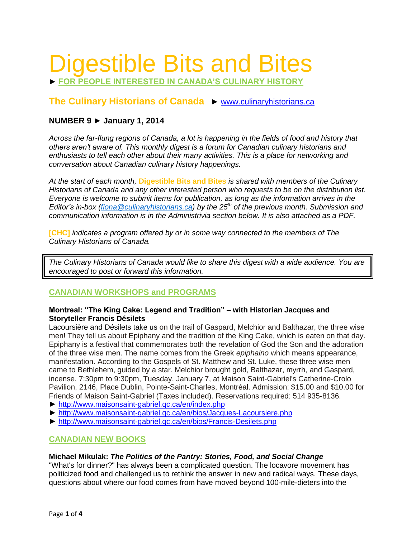# Digestible Bits and Bites

► **FOR PEOPLE INTERESTED IN CANADA'S CULINARY HISTORY**

# **The Culinary Historians of Canada** ► [www.culinaryhistorians.ca](http://www.culinaryhistorians.ca/)

# **NUMBER 9 ► January 1, 2014**

*Across the far-flung regions of Canada, a lot is happening in the fields of food and history that others aren't aware of. This monthly digest is a forum for Canadian culinary historians and enthusiasts to tell each other about their many activities. This is a place for networking and conversation about Canadian culinary history happenings.* 

*At the start of each month,* **Digestible Bits and Bites** *is shared with members of the Culinary Historians of Canada and any other interested person who requests to be on the distribution list. Everyone is welcome to submit items for publication, as long as the information arrives in the Editor's in-box [\(fiona@culinaryhistorians.ca\)](mailto:fiona@culinaryhistorians.ca) by the 25th of the previous month. Submission and communication information is in the Administrivia section below. It is also attached as a PDF.*

**[CHC]** *indicates a program offered by or in some way connected to the members of The Culinary Historians of Canada.*

*The Culinary Historians of Canada would like to share this digest with a wide audience. You are encouraged to post or forward this information.*

# **CANADIAN WORKSHOPS and PROGRAMS**

#### **Montreal: "The King Cake: Legend and Tradition" – with Historian Jacques and Storyteller Francis Désilets**

[Lacoursière](http://www.maisonsaint-gabriel.qc.ca/en/bios/Jacques-Lacoursiere.php) and Désilets take us on the trail of Gaspard, Melchior and Balthazar, the three wise men! They tell us about Epiphany and the tradition of the King Cake, which is eaten on that day. Epiphany is a festival that commemorates both the revelation of God the Son and the adoration of the three wise men. The name comes from the Greek *epiphaino* which means appearance, manifestation. According to the Gospels of St. Matthew and St. Luke, these three wise men came to Bethlehem, guided by a star. Melchior brought gold, Balthazar, myrrh, and Gaspard, incense. 7:30pm to 9:30pm, Tuesday, January 7, at Maison Saint-Gabriel's Catherine-Crolo Pavilion, 2146, Place Dublin, Pointe-Saint-Charles, Montréal. Admission: \$15.00 and \$10.00 for Friends of Maison Saint-Gabriel (Taxes included). Reservations required: 514 935-8136.

- ► <http://www.maisonsaint-gabriel.qc.ca/en/index.php>
- ► <http://www.maisonsaint-gabriel.qc.ca/en/bios/Jacques-Lacoursiere.php>
- ► <http://www.maisonsaint-gabriel.qc.ca/en/bios/Francis-Desilets.php>

## **CANADIAN NEW BOOKS**

## **Michael Mikulak:** *The Politics of the Pantry: Stories, Food, and Social Change*

"What's for dinner?" has always been a complicated question. The locavore movement has politicized food and challenged us to rethink the answer in new and radical ways. These days, questions about where our food comes from have moved beyond 100-mile-dieters into the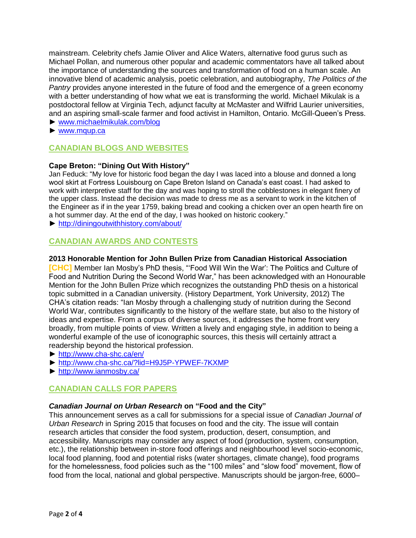mainstream. Celebrity chefs Jamie Oliver and Alice Waters, alternative food gurus such as Michael Pollan, and numerous other popular and academic commentators have all talked about the importance of understanding the sources and transformation of food on a human scale. An innovative blend of academic analysis, poetic celebration, and autobiography, *The Politics of the Pantry* provides anyone interested in the future of food and the emergence of a green economy with a better understanding of how what we eat is transforming the world. Michael Mikulak is a postdoctoral fellow at Virginia Tech, adjunct faculty at McMaster and Wilfrid Laurier universities, and an aspiring small-scale farmer and food activist in Hamilton, Ontario. McGill-Queen's Press.

- ► [www.michaelmikulak.com/blog](http://www.michaelmikulak.com/blog)
- ► [www.mqup.ca](http://www.mqup.ca/)

# **CANADIAN BLOGS AND WEBSITES**

## **Cape Breton: "Dining Out With History"**

Jan Feduck: "My love for historic food began the day I was laced into a blouse and donned a long wool skirt at Fortress Louisbourg on Cape Breton Island on Canada's east coast. I had asked to work with interpretive staff for the day and was hoping to stroll the cobblestones in elegant finery of the upper class. Instead the decision was made to dress me as a servant to work in the kitchen of the Engineer as if in the year 1759, baking bread and cooking a chicken over an open hearth fire on a hot summer day. At the end of the day, I was hooked on historic cookery."

► <http://diningoutwithhistory.com/about/>

# **CANADIAN AWARDS AND CONTESTS**

#### **2013 Honorable Mention for John Bullen Prize from Canadian Historical Association**

**[CHC]** Member Ian Mosby's PhD thesis, "'Food Will Win the War': The Politics and Culture of Food and Nutrition During the Second World War," has been acknowledged with an Honourable Mention for the John Bullen Prize which recognizes the outstanding PhD thesis on a historical topic submitted in a Canadian university. (History Department, York University, 2012) The CHA's citation reads: "Ian Mosby through a challenging study of nutrition during the Second World War, contributes significantly to the history of the welfare state, but also to the history of ideas and expertise. From a corpus of diverse sources, it addresses the home front very broadly, from multiple points of view. Written a lively and engaging style, in addition to being a wonderful example of the use of iconographic sources, this thesis will certainly attract a readership beyond the historical profession.

- ►<http://www.cha-shc.ca/en/>
- ►<http://www.cha-shc.ca/?lid=H9J5P-YPWEF-7KXMP>
- ►<http://www.ianmosby.ca/>

# **CANADIAN CALLS FOR PAPERS**

## *Canadian Journal on Urban Research* **on "Food and the City"**

This announcement serves as a call for submissions for a special issue of *Canadian Journal of Urban Research* in Spring 2015 that focuses on food and the city. The issue will contain research articles that consider the food system, production, desert, consumption, and accessibility. Manuscripts may consider any aspect of food (production, system, consumption, etc.), the relationship between in-store food offerings and neighbourhood level socio-economic, local food planning, food and potential risks (water shortages, climate change), food programs for the homelessness, food policies such as the "100 miles" and "slow food" movement, flow of food from the local, national and global perspective. Manuscripts should be jargon-free, 6000–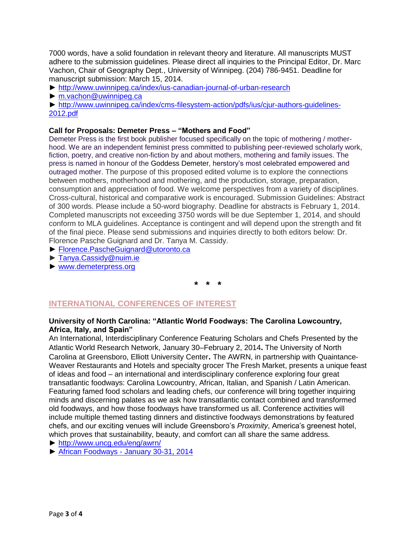7000 words, have a solid foundation in relevant theory and literature. All manuscripts MUST adhere to the submission guidelines. Please direct all inquiries to the Principal Editor, Dr. Marc Vachon, Chair of Geography Dept., University of Winnipeg. (204) 786-9451. Deadline for manuscript submission: March 15, 2014.

- ►<http://www.uwinnipeg.ca/index/ius-canadian-journal-of-urban-research>
- ► [m.vachon@uwinnipeg.ca](mailto:m.vachon@uwinnipeg.ca)

► [http://www.uwinnipeg.ca/index/cms-filesystem-action/pdfs/ius/cjur-authors-guidelines-](http://www.uwinnipeg.ca/index/cms-filesystem-action/pdfs/ius/cjur-authors-guidelines-2012.pdf)[2012.pdf](http://www.uwinnipeg.ca/index/cms-filesystem-action/pdfs/ius/cjur-authors-guidelines-2012.pdf)

#### **Call for Proposals: Demeter Press – "Mothers and Food"**

Demeter Press is the first book publisher focused specifically on the topic of mothering / motherhood. We are an independent feminist press committed to publishing peer-reviewed scholarly work, fiction, poetry, and creative non-fiction by and about mothers, mothering and family issues. The press is named in honour of the [Goddess Demeter,](http://www.demeterpress.org/#demeter) herstory's most celebrated empowered and outraged mother. The purpose of this proposed edited volume is to explore the connections between mothers, motherhood and mothering, and the production, storage, preparation, consumption and appreciation of food. We welcome perspectives from a variety of disciplines. Cross-cultural, historical and comparative work is encouraged. Submission Guidelines: Abstract of 300 words. Please include a 50-word biography. Deadline for abstracts is February 1, 2014. Completed manuscripts not exceeding 3750 words will be due September 1, 2014, and should conform to MLA guidelines. Acceptance is contingent and will depend upon the strength and fit of the final piece. Please send submissions and inquiries directly to both editors below: Dr. Florence Pasche Guignard and Dr. Tanya M. Cassidy.

- ► [Florence.PascheGuignard@utoronto.ca](mailto:Florence.PascheGuignard@utoronto.ca)
- ► [Tanya.Cassidy@nuim.ie](mailto:Tanya.Cassidy@nuim.ie)
- ► [www.demeterpress.org](http://www.demeterpress.org/)

**\* \* \***

## **INTERNATIONAL CONFERENCES OF INTEREST**

#### **University of North Carolina: "Atlantic World Foodways: The Carolina Lowcountry, Africa, Italy, and Spain"**

An International, Interdisciplinary Conference Featuring Scholars and Chefs Presented by the Atlantic World Research Network, January 30–February 2, 2014**.** The University of North Carolina at Greensboro, Elliott University Center**.** The AWRN, in partnership with Quaintance-Weaver Restaurants and Hotels and specialty grocer The Fresh Market, presents a unique feast of ideas and food – an international and interdisciplinary conference exploring four great transatlantic foodways: Carolina Lowcountry, African, Italian, and Spanish / Latin American. Featuring famed food scholars and leading chefs, our conference will bring together inquiring minds and discerning palates as we ask how transatlantic contact combined and transformed old foodways, and how those foodways have transformed us all. Conference activities will include multiple themed tasting dinners and distinctive foodways demonstrations by featured chefs, and our exciting venues will include Greensboro's *Proximity*, America's greenest hotel, which proves that sustainability, beauty, and comfort can all share the same address.

- ► <http://www.uncg.edu/eng/awrn/>
- ► African Foodways [January 30-31, 2014](http://www.uncg.edu/eng/awrn/Atlantic%20World%20Foodways.African%20Foodways-1.pdf)